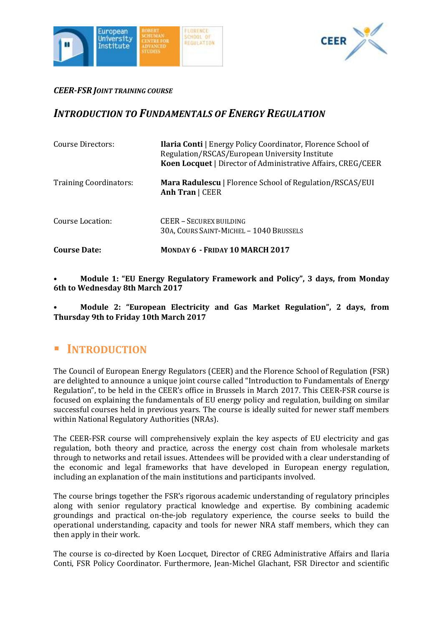



### *CEER-FSR JOINT TRAINING COURSE*

# *INTRODUCTION TO FUNDAMENTALS OF ENERGY REGULATION*

| Course Directors:             | <b>Ilaria Conti</b>   Energy Policy Coordinator, Florence School of<br>Regulation/RSCAS/European University Institute<br>Koen Locquet   Director of Administrative Affairs, CREG/CEER |
|-------------------------------|---------------------------------------------------------------------------------------------------------------------------------------------------------------------------------------|
| <b>Training Coordinators:</b> | <b>Mara Radulescu</b>   Florence School of Regulation/RSCAS/EUI<br>Anh Tran   CEER                                                                                                    |
| Course Location:              | CEER - SECUREX BUILDING<br>30A, COURS SAINT-MICHEL - 1040 BRUSSELS                                                                                                                    |
| <b>Course Date:</b>           | MONDAY 6 - FRIDAY 10 MARCH 2017                                                                                                                                                       |

### • **Module 1: "EU Energy Regulatory Framework and Policy", 3 days, from Monday 6th to Wednesday 8th March 2017**

### • **Module 2: "European Electricity and Gas Market Regulation", 2 days, from Thursday 9th to Friday 10th March 2017**

# **INTRODUCTION**

The Council of European Energy Regulators (CEER) and the Florence School of Regulation (FSR) are delighted to announce a unique joint course called "Introduction to Fundamentals of Energy Regulation", to be held in the CEER's office in Brussels in March 2017. This CEER-FSR course is focused on explaining the fundamentals of EU energy policy and regulation, building on similar successful courses held in previous years. The course is ideally suited for newer staff members within National Regulatory Authorities (NRAs).

The CEER-FSR course will comprehensively explain the key aspects of EU electricity and gas regulation, both theory and practice, across the energy cost chain from wholesale markets through to networks and retail issues. Attendees will be provided with a clear understanding of the economic and legal frameworks that have developed in European energy regulation, including an explanation of the main institutions and participants involved.

The course brings together the FSR's rigorous academic understanding of regulatory principles along with senior regulatory practical knowledge and expertise. By combining academic groundings and practical on-the-job regulatory experience, the course seeks to build the operational understanding, capacity and tools for newer NRA staff members, which they can then apply in their work.

The course is co-directed by Koen Locquet, Director of CREG Administrative Affairs and Ilaria Conti, FSR Policy Coordinator. Furthermore, Jean-Michel Glachant, FSR Director and scientific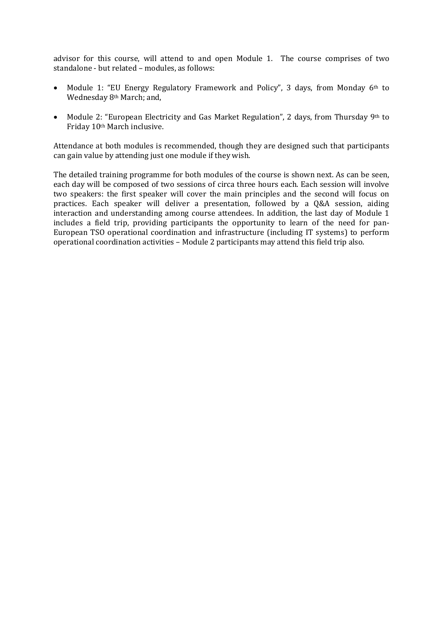advisor for this course, will attend to and open Module 1. The course comprises of two standalone - but related – modules, as follows:

- Module 1: "EU Energy Regulatory Framework and Policy", 3 days, from Monday  $6<sup>th</sup>$  to Wednesday 8th March; and,
- Module 2: "European Electricity and Gas Market Regulation", 2 days, from Thursday 9th to Friday 10th March inclusive.

Attendance at both modules is recommended, though they are designed such that participants can gain value by attending just one module if they wish.

The detailed training programme for both modules of the course is shown next. As can be seen, each day will be composed of two sessions of circa three hours each. Each session will involve two speakers: the first speaker will cover the main principles and the second will focus on practices. Each speaker will deliver a presentation, followed by a Q&A session, aiding interaction and understanding among course attendees. In addition, the last day of Module 1 includes a field trip, providing participants the opportunity to learn of the need for pan-European TSO operational coordination and infrastructure (including IT systems) to perform operational coordination activities – Module 2 participants may attend this field trip also.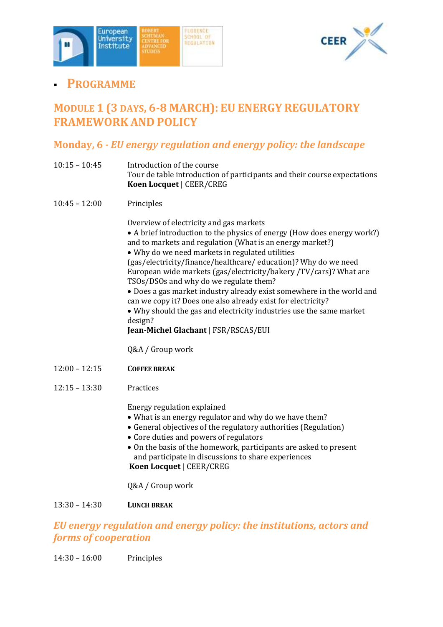



# **PROGRAMME**

# **MODULE 1 (3 DAYS, 6-8 MARCH): EU ENERGY REGULATORY FRAMEWORK AND POLICY**

# **Monday, 6** *- EU energy regulation and energy policy: the landscape*

- 10:15 10:45 Introduction of the course Tour de table introduction of participants and their course expectations **Koen Locquet** | CEER/CREG
- 10:45 12:00 Principles

Overview of electricity and gas markets

- A brief introduction to the physics of energy (How does energy work?) and to markets and regulation (What is an energy market?)
- Why do we need markets in regulated utilities

(gas/electricity/finance/healthcare/ education)? Why do we need European wide markets (gas/electricity/bakery /TV/cars)? What are TSOs/DSOs and why do we regulate them?

 Does a gas market industry already exist somewhere in the world and can we copy it? Does one also already exist for electricity?

 Why should the gas and electricity industries use the same market design?

**Jean-Michel Glachant** | FSR/RSCAS/EUI

Q&A / Group work

- 12:00 12:15 **COFFEE BREAK**
- 12:15 13:30 Practices

Energy regulation explained

- What is an energy regulator and why do we have them?
- General objectives of the regulatory authorities (Regulation)
- Core duties and powers of regulators
- On the basis of the homework, participants are asked to present and participate in discussions to share experiences **Koen Locquet** | CEER/CREG

Q&A / Group work

### 13:30 – 14:30 **LUNCH BREAK**

## *EU energy regulation and energy policy: the institutions, actors and forms of cooperation*

14:30 – 16:00 Principles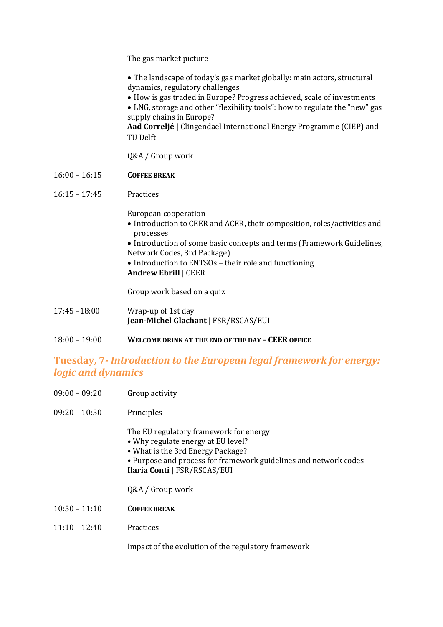The gas market picture

 The landscape of today's gas market globally: main actors, structural dynamics, regulatory challenges

How is gas traded in Europe? Progress achieved, scale of investments

 LNG, storage and other "flexibility tools": how to regulate the "new" gas supply chains in Europe?

**Aad Correljé |** Clingendael International Energy Programme (CIEP) and TU Delft

Q&A / Group work

16:00 – 16:15 **COFFEE BREAK**

#### 16:15 – 17:45 Practices

European cooperation

- Introduction to CEER and ACER, their composition, roles/activities and processes
- Introduction of some basic concepts and terms (Framework Guidelines, Network Codes, 3rd Package)
- Introduction to ENTSOs their role and functioning **Andrew Ebrill** | CEER

Group work based on a quiz

- 17:45 –18:00 Wrap-up of 1st day **Jean-Michel Glachant** | FSR/RSCAS/EUI
- 18:00 19:00 **WELCOME DRINK AT THE END OF THE DAY – CEER OFFICE**

## **Tuesday, 7***- Introduction to the European legal framework for energy: logic and dynamics*

- 09:00 09:20 Group activity
- 09:20 10:50 Principles

The EU regulatory framework for energy

- Why regulate energy at EU level?
- What is the 3rd Energy Package?
- Purpose and process for framework guidelines and network codes **Ilaria Conti** | FSR/RSCAS/EUI

Q&A / Group work

- 10:50 11:10 **COFFEE BREAK**
- 11:10 12:40 Practices

Impact of the evolution of the regulatory framework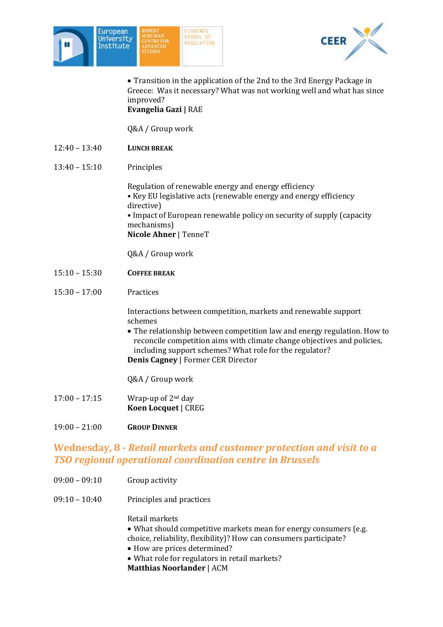



 Transition in the application of the 2nd to the 3rd Energy Package in Greece: Was it necessary? What was not working well and what has since improved? **Evangelia Gazi |** RAE

Q&A / Group work

- 12:40 13:40 **LUNCH BREAK**
- 13:40 15:10 Principles

Regulation of renewable energy and energy efficiency • Key EU legislative acts (renewable energy and energy efficiency directive) • Impact of European renewable policy on security of supply (capacity mechanisms) **Nicole Ahner** | TenneT

Q&A / Group work

- 15:10 15:30 **COFFEE BREAK**
- 15:30 17:00 Practices

Interactions between competition, markets and renewable support schemes

- The relationship between competition law and energy regulation. How to reconcile competition aims with climate change objectives and policies, including support schemes? What role for the regulator? **Denis Cagney** | Former CER Director
- Q&A / Group work
- 17:00 17:15 Wrap-up of 2nd day **Koen Locquet** | CREG
- 19:00 21:00 **GROUP DINNER**

## **Wednesday, 8** *- Retail markets and customer protection and visit to a TSO regional operational coordination centre in Brussels*

- 09:00 09:10 Group activity
- 09:10 10:40 Principles and practices

Retail markets

- What should competitive markets mean for energy consumers (e.g. choice, reliability, flexibility)? How can consumers participate?
- How are prices determined?
- What role for regulators in retail markets?
- **Matthias Noorlander** | ACM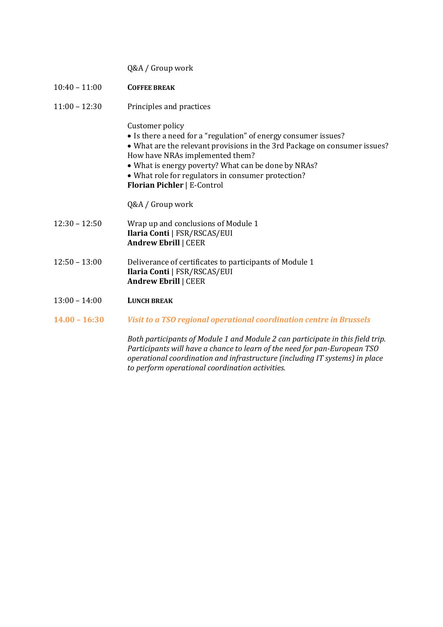|                 | Q&A / Group work                                                                                                                                                                                                                                                                                                                                      |
|-----------------|-------------------------------------------------------------------------------------------------------------------------------------------------------------------------------------------------------------------------------------------------------------------------------------------------------------------------------------------------------|
| $10:40 - 11:00$ | <b>COFFEE BREAK</b>                                                                                                                                                                                                                                                                                                                                   |
| $11:00 - 12:30$ | Principles and practices                                                                                                                                                                                                                                                                                                                              |
|                 | Customer policy<br>• Is there a need for a "regulation" of energy consumer issues?<br>• What are the relevant provisions in the 3rd Package on consumer issues?<br>How have NRAs implemented them?<br>• What is energy poverty? What can be done by NRAs?<br>• What role for regulators in consumer protection?<br><b>Florian Pichler   E-Control</b> |
|                 | Q&A / Group work                                                                                                                                                                                                                                                                                                                                      |
| $12:30 - 12:50$ | Wrap up and conclusions of Module 1<br>Ilaria Conti   FSR/RSCAS/EUI<br><b>Andrew Ebrill   CEER</b>                                                                                                                                                                                                                                                    |
| $12:50 - 13:00$ | Deliverance of certificates to participants of Module 1<br>Ilaria Conti   FSR/RSCAS/EUI<br><b>Andrew Ebrill   CEER</b>                                                                                                                                                                                                                                |
| $13:00 - 14:00$ | <b>LUNCH BREAK</b>                                                                                                                                                                                                                                                                                                                                    |
| $14.00 - 16:30$ | Visit to a TSO regional operational coordination centre in Brussels                                                                                                                                                                                                                                                                                   |
|                 | Both participants of Module 1 and Module 2 can participate in this field trip.<br>Participants will have a chance to learn of the need for pan-European TSO<br>operational coordination and infrastructure (including IT systems) in place<br>to perform operational coordination activities.                                                         |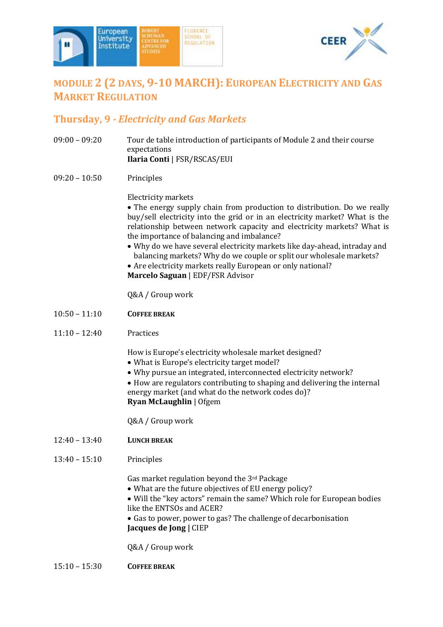



# **MODULE 2 (2 DAYS, 9-10 MARCH): EUROPEAN ELECTRICITY AND GAS MARKET REGULATION**

## **Thursday, 9** *- Electricity and Gas Markets*

- 09:00 09:20 Tour de table introduction of participants of Module 2 and their course expectations **Ilaria Conti** | FSR/RSCAS/EUI
- 09:20 10:50 Principles

### Electricity markets

 The energy supply chain from production to distribution. Do we really buy/sell electricity into the grid or in an electricity market? What is the relationship between network capacity and electricity markets? What is the importance of balancing and imbalance?

- Why do we have several electricity markets like day-ahead, intraday and balancing markets? Why do we couple or split our wholesale markets?
- Are electricity markets really European or only national? **Marcelo Saguan** | EDF/FSR Advisor

Q&A / Group work

- 10:50 11:10 **COFFEE BREAK**
- 11:10 12:40 Practices

How is Europe's electricity wholesale market designed?

- What is Europe's electricity target model?
- Why pursue an integrated, interconnected electricity network?
- How are regulators contributing to shaping and delivering the internal energy market (and what do the network codes do)? **Ryan McLaughlin** | Ofgem

Q&A / Group work

- 12:40 13:40 **LUNCH BREAK**
- 13:40 15:10 Principles

Gas market regulation beyond the 3rd Package

- What are the future objectives of EU energy policy?
- Will the "key actors" remain the same? Which role for European bodies like the ENTSOs and ACER?
- Gas to power, power to gas? The challenge of decarbonisation **Jacques de Jong |** CIEP

Q&A / Group work

15:10 – 15:30 **COFFEE BREAK**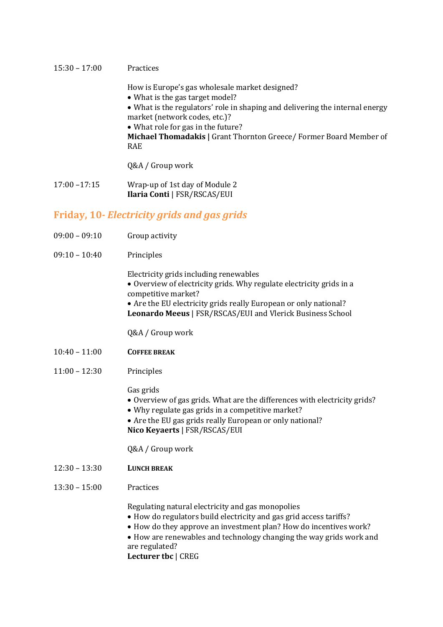#### 15:30 – 17:00 Practices

How is Europe's gas wholesale market designed?

- What is the gas target model?
- What is the regulators' role in shaping and delivering the internal energy market (network codes, etc.)?
- What role for gas in the future?

**Michael Thomadakis |** Grant Thornton Greece/ Former Board Member of RAE

Q&A / Group work

17:00 –17:15 Wrap-up of 1st day of Module 2 **Ilaria Conti** | FSR/RSCAS/EUI

### **Friday, 10***- Electricity grids and gas grids*

- 09:00 09:10 Group activity
- 09:10 10:40 Principles

Electricity grids including renewables

 Overview of electricity grids. Why regulate electricity grids in a competitive market?

 Are the EU electricity grids really European or only national? **Leonardo Meeus** | FSR/RSCAS/EUI and Vlerick Business School

Q&A / Group work

- 10:40 11:00 **COFFEE BREAK**
- 11:00 12:30 Principles

Gas grids

- Overview of gas grids. What are the differences with electricity grids?
- Why regulate gas grids in a competitive market?
- Are the EU gas grids really European or only national?

**Nico Keyaerts** | FSR/RSCAS/EUI

Q&A / Group work

- 12:30 13:30 **LUNCH BREAK**
- 13:30 15:00 Practices

Regulating natural electricity and gas monopolies

- How do regulators build electricity and gas grid access tariffs?
- How do they approve an investment plan? How do incentives work?
- How are renewables and technology changing the way grids work and are regulated?

**Lecturer tbc** | CREG